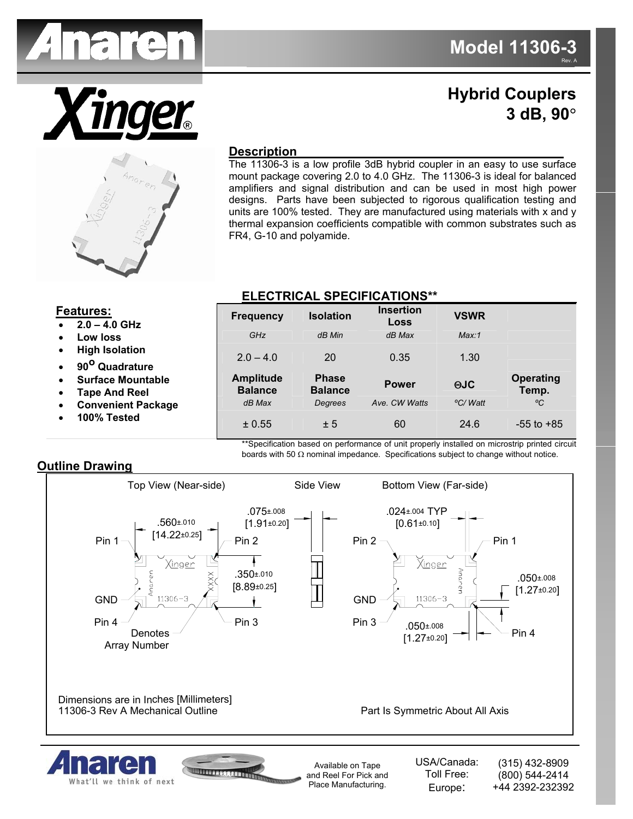



## **Hybrid Couplers 3 dB, 90**°



## **Description**

The 11306-3 is a low profile 3dB hybrid coupler in an easy to use surface mount package covering 2.0 to 4.0 GHz. The 11306-3 is ideal for balanced amplifiers and signal distribution and can be used in most high power designs. Parts have been subjected to rigorous qualification testing and units are 100% tested. They are manufactured using materials with x and y thermal expansion coefficients compatible with common substrates such as FR4, G-10 and polyamide.

## **ELECTRICAL SPECIFICATIONS\*\***

| <b>Features:</b><br>$2.0 - 4.0$ GHz                                           | <b>Frequency</b>                   | <b>Isolation</b>               | <b>Insertion</b><br>Loss | <b>VSWR</b> |                           |
|-------------------------------------------------------------------------------|------------------------------------|--------------------------------|--------------------------|-------------|---------------------------|
| Low loss<br>$\bullet$                                                         | GHz                                | dB Min                         | dB Max                   | Max:1       |                           |
| <b>High Isolation</b><br>$\bullet$<br>90 <sup>O</sup> Quadrature<br>$\bullet$ | $2.0 - 4.0$                        | 20                             | 0.35                     | 1.30        |                           |
| <b>Surface Mountable</b><br>$\bullet$<br><b>Tape And Reel</b><br>$\bullet$    | <b>Amplitude</b><br><b>Balance</b> | <b>Phase</b><br><b>Balance</b> | <b>Power</b>             | <b>⊕JC</b>  | <b>Operating</b><br>Temp. |
| <b>Convenient Package</b><br>$\bullet$                                        | dB Max                             | Degrees                        | Ave. CW Watts            | °C/Watt     | °C                        |
| 100% Tested<br>$\bullet$                                                      | ± 0.55                             | ± 5                            | 60                       | 24.6        | $-55$ to $+85$            |

\*\*Specification based on performance of unit properly installed on microstrip printed circuit boards with 50  $\Omega$  nominal impedance. Specifications subject to change without notice.

## **Outline Drawing**

What'll we think of next



and Reel For Pick and Place Manufacturing.

Toll Free: Europe:

(800) 544-2414 +44 2392-232392